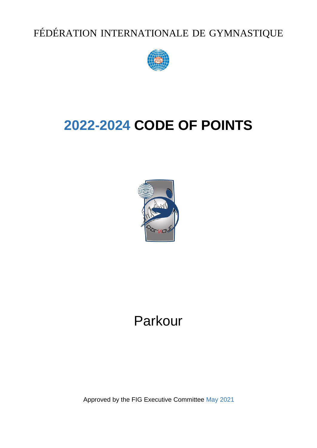FÉDÉRATION INTERNATIONALE DE GYMNASTIQUE



# **2022-2024 CODE OF POINTS**



# Parkour

Approved by the FIG Executive Committee May 2021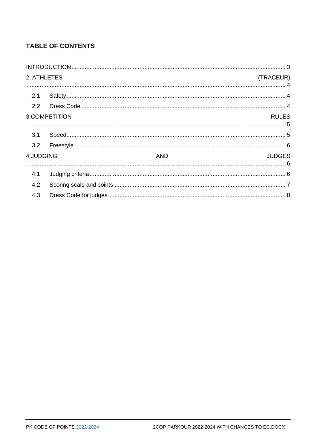# **TABLE OF CONTENTS**

| 2. ATHLETES |               |            | (TRACEUR)     |
|-------------|---------------|------------|---------------|
|             |               |            |               |
| 2.1         |               |            |               |
|             |               |            |               |
|             | 3.COMPETITION |            | <b>RULES</b>  |
|             |               |            |               |
| 3.1         |               |            |               |
| 3.2         |               |            |               |
| 4.JUDGING   |               | <b>AND</b> | <b>JUDGES</b> |
| 4.1         |               |            |               |
| 4.2         |               |            |               |
| 4.3         |               |            |               |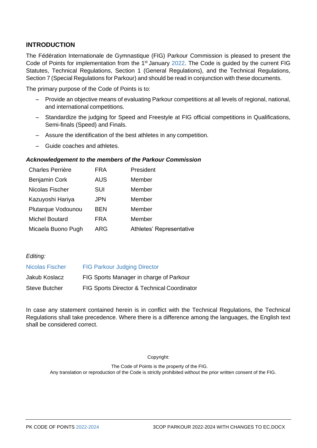### <span id="page-2-0"></span>**INTRODUCTION**

The Fédération Internationale de Gymnastique (FIG) Parkour Commission is pleased to present the Code of Points for implementation from the  $1<sup>st</sup>$  January 2022. The Code is guided by the current FIG Statutes, Technical Regulations, Section 1 (General Regulations), and the Technical Regulations, Section 7 (Special Regulations for Parkour) and should be read in conjunction with these documents.

The primary purpose of the Code of Points is to:

- Provide an objective means of evaluating Parkour competitions at all levels of regional, national, and international competitions.
- Standardize the judging for Speed and Freestyle at FIG official competitions in Qualifications, Semi-finals (Speed) and Finals.
- Assure the identification of the best athletes in any competition.
- Guide coaches and athletes.

#### *Acknowledgement to the members of the Parkour Commission*

| <b>Charles Perrière</b> | <b>FRA</b> | President                |
|-------------------------|------------|--------------------------|
| <b>Benjamin Cork</b>    | <b>AUS</b> | Member                   |
| Nicolas Fischer         | SUI        | Member                   |
| Kazuyoshi Hariya        | <b>JPN</b> | Member                   |
| Plutarque Vodounou      | <b>BEN</b> | Member                   |
| <b>Michel Boutard</b>   | <b>FRA</b> | Member                   |
| Micaela Buono Pugh      | ARG        | Athletes' Representative |

#### *Editing:*

| <b>Nicolas Fischer</b> | <b>FIG Parkour Judging Director</b>         |
|------------------------|---------------------------------------------|
| Jakub Koslacz          | FIG Sports Manager in charge of Parkour     |
| <b>Steve Butcher</b>   | FIG Sports Director & Technical Coordinator |

In case any statement contained herein is in conflict with the Technical Regulations, the Technical Regulations shall take precedence. Where there is a difference among the languages, the English text shall be considered correct.

Copyright:

 The Code of Points is the property of the FIG. Any translation or reproduction of the Code is strictly prohibited without the prior written consent of the FIG.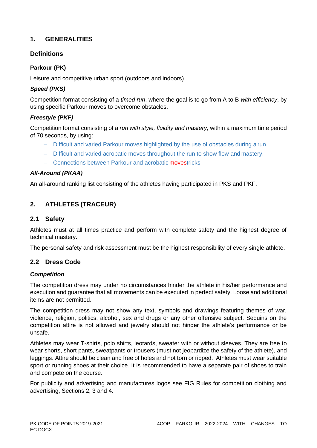# **1. GENERALITIES**

# **Definitions**

# **Parkour (PK)**

Leisure and competitive urban sport (outdoors and indoors)

## *Speed (PKS)*

Competition format consisting of a *timed run*, where the goal is to go from A to B *with efficiency*, by using specific Parkour moves to overcome obstacles.

## *Freestyle (PKF)*

Competition format consisting of a *run with style, fluidity and mastery*, within a maximum time period of 70 seconds, by using:

- Difficult and varied Parkour moves highlighted by the use of obstacles during a run.
- Difficult and varied acrobatic moves throughout the run to show flow and mastery.
- Connections between Parkour and acrobatic movestricks

## *All-Around (PKAA)*

<span id="page-3-0"></span>An all-around ranking list consisting of the athletes having participated in PKS and PKF.

# **2. ATHLETES (TRACEUR)**

## <span id="page-3-1"></span>**2.1 Safety**

Athletes must at all times practice and perform with complete safety and the highest degree of technical mastery.

The personal safety and risk assessment must be the highest responsibility of every single athlete.

# <span id="page-3-2"></span>**2.2 Dress Code**

### *Competition*

The competition dress may under no circumstances hinder the athlete in his/her performance and execution and guarantee that all movements can be executed in perfect safety. Loose and additional items are not permitted.

The competition dress may not show any text, symbols and drawings featuring themes of war, violence, religion, politics, alcohol, sex and drugs or any other offensive subject. Sequins on the competition attire is not allowed and jewelry should not hinder the athlete's performance or be unsafe.

Athletes may wear T-shirts, polo shirts, leotards, sweater with or without sleeves. They are free to wear shorts, short pants, sweatpants or trousers (must not jeopardize the safety of the athlete), and leggings. Attire should be clean and free of holes and not torn or ripped. Athletes must wear suitable sport or running shoes at their choice. It is recommended to have a separate pair of shoes to train and compete on the course.

For publicity and advertising and manufactures logos see FIG Rules for competition clothing and advertising, Sections 2, 3 and 4.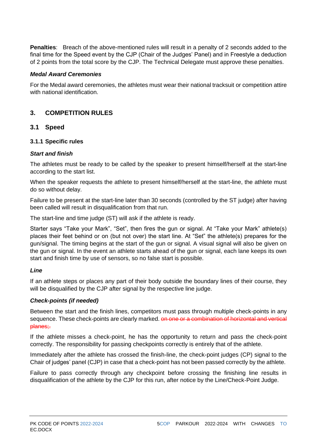**Penalties**: Breach of the above-mentioned rules will result in a penalty of 2 seconds added to the final time for the Speed event by the CJP (Chair of the Judges' Panel) and in Freestyle a deduction of 2 points from the total score by the CJP. The Technical Delegate must approve these penalties.

#### *Medal Award Ceremonies*

For the Medal award ceremonies, the athletes must wear their national tracksuit or competition attire with national identification.

## <span id="page-4-0"></span>**3. COMPETITION RULES**

### <span id="page-4-1"></span>**3.1 Speed**

#### **3.1.1 Specific rules**

#### *Start and finish*

The athletes must be ready to be called by the speaker to present himself/herself at the start-line according to the start list.

When the speaker requests the athlete to present himself/herself at the start-line, the athlete must do so without delay.

Failure to be present at the start-line later than 30 seconds (controlled by the ST judge) after having been called will result in disqualification from that run.

The start-line and time judge (ST) will ask if the athlete is ready.

Starter says "Take your Mark", "Set", then fires the gun or signal. At "Take your Mark" athlete(s) places their feet behind or on (but not over) the start line. At "Set" the athlete(s) prepares for the gun/signal. The timing begins at the start of the gun or signal. A visual signal will also be given on the gun or signal. In the event an athlete starts ahead of the gun or signal, each lane keeps its own start and finish time by use of sensors, so no false start is possible.

#### *Line*

If an athlete steps or places any part of their body outside the boundary lines of their course, they will be disqualified by the CJP after signal by the respective line judge.

#### *Check-points (if needed)*

Between the start and the finish lines, competitors must pass through multiple check-points in any sequence. These check-points are clearly marked. on one or a combination of horizontal and vertical planes;.

If the athlete misses a check-point, he has the opportunity to return and pass the check-point correctly. The responsibility for passing checkpoints correctly is entirely that of the athlete.

Immediately after the athlete has crossed the finish-line, the check-point judges (CP) signal to the Chair of judges' panel (CJP) in case that a check-point has not been passed correctly by the athlete.

Failure to pass correctly through any checkpoint before crossing the finishing line results in disqualification of the athlete by the CJP for this run, after notice by the Line/Check-Point Judge.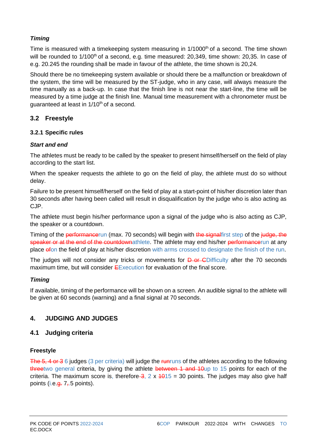## *Timing*

Time is measured with a timekeeping system measuring in 1/1000<sup>th</sup> of a second. The time shown will be rounded to 1/100<sup>th</sup> of a second, e.g. time measured: 20,349, time shown: 20,35. In case of e.g. 20.245 the rounding shall be made in favour of the athlete, the time shown is 20,24.

Should there be no timekeeping system available or should there be a malfunction or breakdown of the system, the time will be measured by the ST-judge, who in any case, will always measure the time manually as a back-up. In case that the finish line is not near the start-line, the time will be measured by a time judge at the finish line. Manual time measurement with a chronometer must be guaranteed at least in 1/10<sup>th</sup> of a second.

# <span id="page-5-0"></span>**3.2 Freestyle**

## **3.2.1 Specific rules**

### *Start and end*

The athletes must be ready to be called by the speaker to present himself/herself on the field of play according to the start list.

When the speaker requests the athlete to go on the field of play, the athlete must do so without delay.

Failure to be present himself/herself on the field of play at a start-point of his/her discretion later than 30 seconds after having been called will result in disqualification by the judge who is also acting as CJP.

The athlete must begin his/her performance upon a signal of the judge who is also acting as CJP, the speaker or a countdown.

Timing of the performancerun (max. 70 seconds) will begin with the signalfirst step of the judge, the speaker or at the end of the countdownathlete. The athlete may end his/her performancerun at any place of on the field of play at his/her discretion with arms crossed to designate the finish of the run.

The judges will not consider any tricks or movements for **D** or CDifficulty after the 70 seconds maximum time, but will consider EExecution for evaluation of the final score.

### *Timing*

If available, timing of the performance will be shown on a screen. An audible signal to the athlete will be given at 60 seconds (warning) and a final signal at 70 seconds.

# <span id="page-5-1"></span>**4. JUDGING AND JUDGES**

# <span id="page-5-2"></span>**4.1 Judging criteria**

### **Freestyle**

The 5, 4 or 3 6 judges (3 per criteria) will judge the runruns of the athletes according to the following threetwo general criteria, by giving the athlete between 1 and 10up to 15 points for each of the criteria. The maximum score is, therefore  $\frac{3}{2}$ , 2 x  $\frac{4015}{2}$  = 30 points. The judges may also give half points (i.e. $\frac{a}{x}$ ,  $\frac{a}{x}$ ,  $\frac{b}{y}$  points).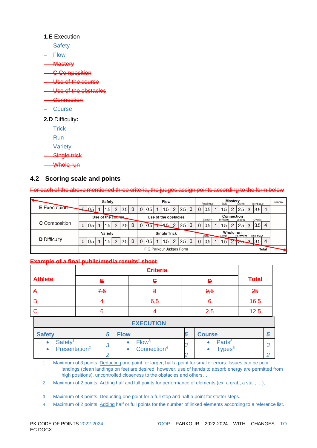#### **1.E** Execution

- **Safety**
- Flow
- **Mastery**
- **C** Composition
- Use of the course
- Use of the obstacles
- Connection
- Course
- **2.D** Difficulty**:**
- Trick
- Run
- Variety
- Single trick
- Whole run

# <span id="page-6-0"></span>**4.2 Scoring scale and points**

For each of the above mentioned three criteria, the judges assign points according to the form below

|                      |                                         | Safety         |  |                  |                |     |   |                      | <b>Flow</b> |  |      |                |     |                                                          |                                                                  | <b>Mastery</b><br>Amplitude<br>Technique<br>Style<br>Speed |  |     |                |        |   |                  | <b>Scores</b> |  |
|----------------------|-----------------------------------------|----------------|--|------------------|----------------|-----|---|----------------------|-------------|--|------|----------------|-----|----------------------------------------------------------|------------------------------------------------------------------|------------------------------------------------------------|--|-----|----------------|--------|---|------------------|---------------|--|
| <b>E</b> Executulor  |                                         | $\bigcup_{.5}$ |  | 1.5              | 2              | 2.5 | 3 | $\mathbf{0}$         | 0.5         |  | 1.5  | $\overline{2}$ | 2.5 | 3                                                        | $\Omega$                                                         | 0.5                                                        |  | 1.5 | 2              | 2.5    | 3 | 3.5 <sub>1</sub> | 4             |  |
|                      | Use of the course                       |                |  |                  |                |     |   | Use of the obstacles |             |  |      |                |     | Connection<br>Difficulty<br>Density<br>Overall<br>Lenath |                                                                  |                                                            |  |     |                |        |   |                  |               |  |
| <b>C</b> Composition | $\Omega$                                | 0.5            |  | 1.5 <sub>1</sub> | $\overline{2}$ | 2.5 | 3 |                      | 0.5         |  | $+5$ | $\overline{2}$ | 2.5 | 3                                                        |                                                                  | 0.5                                                        |  | 1.5 | $\overline{2}$ | 2.5    | 3 | 3.5              | 4             |  |
|                      | Variety                                 |                |  |                  |                |     |   | <b>Single Trick</b>  |             |  |      |                |     |                                                          | Whole run<br><b>Density</b><br>Placement<br>Final Move<br>Lenght |                                                            |  |     |                |        |   |                  |               |  |
| <b>D</b> Difficulty  |                                         | 0.5            |  | 1.5              | 2              | 2.5 | 3 | $\Omega$             | 0.5         |  | 1.5  | $\overline{2}$ | 2.5 | 3                                                        | $\mathbf{0}$                                                     | 0.5                                                        |  | 1.5 |                | $\sim$ |   | $25 - 3$ 3.5     | 4             |  |
|                      | FIG Parkour Judges Form<br><b>Total</b> |                |  |                  |                |     |   |                      |             |  |      |                |     |                                                          |                                                                  |                                                            |  |     |                |        |   |                  |               |  |

#### **Example of a final public/media results' sheet**

| <b>Athlete</b> |     | ۰,   | Đ   | <b>Total</b> |
|----------------|-----|------|-----|--------------|
| $\bm{\tau}$    | 7,5 | ō    | 9,5 | 25           |
| В              |     | 6, 5 | 6   | 16,5         |
| G              | o   |      | 2,5 | 42,5         |
|                |     |      |     |              |

#### **EXECUTION**

| <b>Safety</b>                                    |                      | <b>Flow</b>                                  | <b>Course</b>                   |  |
|--------------------------------------------------|----------------------|----------------------------------------------|---------------------------------|--|
| Safety <sup>1</sup><br>Presentation <sup>2</sup> | $\sqrt{2}$<br>◡<br>⌒ | Flow <sup>3</sup><br>Connection <sup>4</sup> | Parts <sup>5</sup><br>$Types^6$ |  |

1 Maximum of 3 points. Deducting one point for larger, half a point for smaller errors. Issues can be poor landings (clean landings on feet are desired, however, use of hands to absorb energy are permitted from high positions), uncontrolled closeness to the obstacles and others…

2 Maximum of 2 points. Adding half and full points for performance of elements (ex. a grab, a stall, ...),

3 Maximum of 3 points. Deducting one point for a full stop and half a point for stutter steps.

4 Maximum of 2 points. Adding half or full points for the number of linked elements according to a reference list.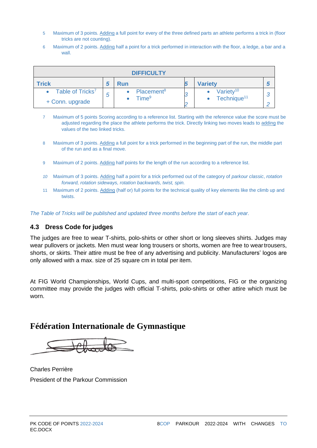- 5 Maximum of 3 points. Adding a full point for every of the three defined parts an athlete performs a trick in (floor tricks are not counting).
- 6 Maximum of 2 points. Adding half a point for a trick performed in interaction with the floor, a ledge, a bar and a wall

| <b>DIFFICULTY</b>            |   |                        |  |                         |  |  |  |  |  |  |  |
|------------------------------|---|------------------------|--|-------------------------|--|--|--|--|--|--|--|
| Trick                        |   | Run                    |  | <b>Variety</b>          |  |  |  |  |  |  |  |
| Table of Tricks <sup>7</sup> | 5 | Placement <sup>8</sup> |  | Variety <sup>10</sup>   |  |  |  |  |  |  |  |
| + Conn. upgrade              |   | Time <sup>9</sup>      |  | Technique <sup>11</sup> |  |  |  |  |  |  |  |

7 Maximum of 5 points Scoring according to a reference list. Starting with the reference value the score must be adjusted regarding the place the athlete performs the trick. Directly linking two moves leads to adding the values of the two linked tricks.

- 8 Maximum of 3 points. Adding a full point for a trick performed in the beginning part of the run, the middle part of the run and as a final move.
- 9 Maximum of 2 points. Adding half points for the length of the run according to a reference list.
- *10* Maximum of 3 points. Adding half a point for a trick performed out of the category of *parkour classic*, *rotation forward, rotation sideways, rotation backwards, twist, spin.*
- 11 Maximum of 2 points. Adding (half or) full points for the technical quality of key elements like the climb up and twists

*The Table of Tricks will be published and updated three months before the start of each year.* 

## <span id="page-7-0"></span>**4.3 Dress Code for judges**

The judges are free to wear T-shirts, polo-shirts or other short or long sleeves shirts. Judges may wear pullovers or jackets. Men must wear long trousers or shorts, women are free to weartrousers, shorts, or skirts. Their attire must be free of any advertising and publicity. Manufacturers' logos are only allowed with a max. size of 25 square cm in total per item.

At FIG World Championships, World Cups, and multi-sport competitions, FIG or the organizing committee may provide the judges with official T-shirts, polo-shirts or other attire which must be worn.

# **Fédération Internationale de Gymnastique**

Charles Perrière President of the Parkour Commission